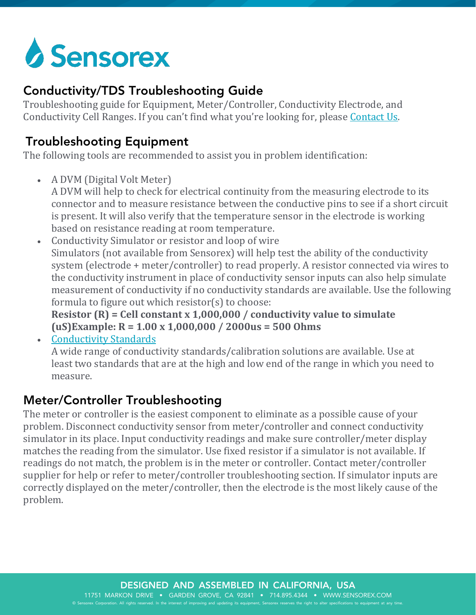

## Conductivity/TDS Troubleshooting Guide

Troubleshooting guide for Equipment, Meter/Controller, Conductivity Electrode, and Conductivity Cell Ranges. If you can't find what you're looking for, please [Contact Us.](https://sensorex.com/contact)

## Troubleshooting Equipment

The following tools are recommended to assist you in problem identification:

- A DVM (Digital Volt Meter) A DVM will help to check for electrical continuity from the measuring electrode to its connector and to measure resistance between the conductive pins to see if a short circuit is present. It will also verify that the temperature sensor in the electrode is working based on resistance reading at room temperature.
- Conductivity Simulator or resistor and loop of wire Simulators (not available from Sensorex) will help test the ability of the conductivity system (electrode + meter/controller) to read properly. A resistor connected via wires to the conductivity instrument in place of conductivity sensor inputs can also help simulate measurement of conductivity if no conductivity standards are available. Use the following formula to figure out which resistor(s) to choose:

**Resistor (R) = Cell constant x 1,000,000 / conductivity value to simulate (uS)Example: R = 1.00 x 1,000,000 / 2000us = 500 Ohms**

• [Conductivity Standards](https://sensorex.com/products/more/conductivity_sensor_accessories)

A wide range of conductivity standards/calibration solutions are available. Use at least two standards that are at the high and low end of the range in which you need to measure.

## Meter/Controller Troubleshooting

The meter or controller is the easiest component to eliminate as a possible cause of your problem. Disconnect conductivity sensor from meter/controller and connect conductivity simulator in its place. Input conductivity readings and make sure controller/meter display matches the reading from the simulator. Use fixed resistor if a simulator is not available. If readings do not match, the problem is in the meter or controller. Contact meter/controller supplier for help or refer to meter/controller troubleshooting section. If simulator inputs are correctly displayed on the meter/controller, then the electrode is the most likely cause of the problem.